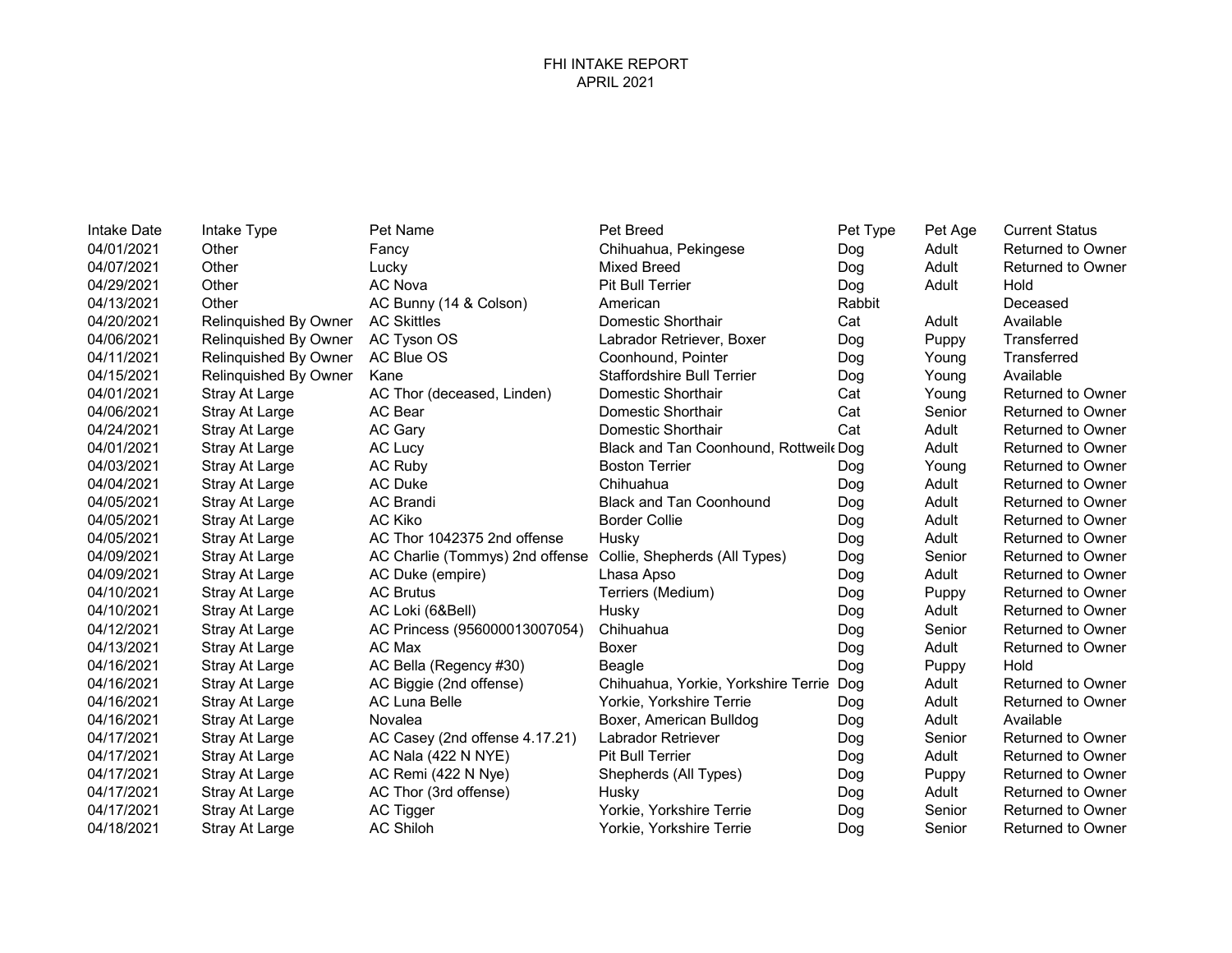| Intake Date | Intake Type           | Pet Name                        | <b>Pet Breed</b>                      | Pet Type | Pet Age | <b>Current Status</b>    |
|-------------|-----------------------|---------------------------------|---------------------------------------|----------|---------|--------------------------|
| 04/01/2021  | Other                 | Fancy                           | Chihuahua, Pekingese                  | Dog      | Adult   | <b>Returned to Owner</b> |
| 04/07/2021  | Other                 | Lucky                           | <b>Mixed Breed</b>                    | Dog      | Adult   | <b>Returned to Owner</b> |
| 04/29/2021  | Other                 | AC Nova                         | <b>Pit Bull Terrier</b>               | Dog      | Adult   | Hold                     |
| 04/13/2021  | Other                 | AC Bunny (14 & Colson)          | American                              | Rabbit   |         | Deceased                 |
| 04/20/2021  | Relinquished By Owner | <b>AC Skittles</b>              | Domestic Shorthair                    | Cat      | Adult   | Available                |
| 04/06/2021  | Relinquished By Owner | AC Tyson OS                     | Labrador Retriever, Boxer             | Dog      | Puppy   | Transferred              |
| 04/11/2021  | Relinquished By Owner | AC Blue OS                      | Coonhound, Pointer                    | Dog      | Young   | Transferred              |
| 04/15/2021  | Relinquished By Owner | Kane                            | <b>Staffordshire Bull Terrier</b>     | Dog      | Young   | Available                |
| 04/01/2021  | Stray At Large        | AC Thor (deceased, Linden)      | Domestic Shorthair                    | Cat      | Young   | <b>Returned to Owner</b> |
| 04/06/2021  | Stray At Large        | AC Bear                         | Domestic Shorthair                    | Cat      | Senior  | <b>Returned to Owner</b> |
| 04/24/2021  | Stray At Large        | <b>AC Gary</b>                  | Domestic Shorthair                    | Cat      | Adult   | <b>Returned to Owner</b> |
| 04/01/2021  | Stray At Large        | AC Lucy                         | Black and Tan Coonhound, Rottweil Dog |          | Adult   | <b>Returned to Owner</b> |
| 04/03/2021  | Stray At Large        | AC Ruby                         | <b>Boston Terrier</b>                 | Dog      | Young   | <b>Returned to Owner</b> |
| 04/04/2021  | Stray At Large        | <b>AC Duke</b>                  | Chihuahua                             | Dog      | Adult   | <b>Returned to Owner</b> |
| 04/05/2021  | Stray At Large        | <b>AC Brandi</b>                | <b>Black and Tan Coonhound</b>        | Dog      | Adult   | <b>Returned to Owner</b> |
| 04/05/2021  | Stray At Large        | <b>AC Kiko</b>                  | <b>Border Collie</b>                  | Dog      | Adult   | <b>Returned to Owner</b> |
| 04/05/2021  | Stray At Large        | AC Thor 1042375 2nd offense     | Husky                                 | Dog      | Adult   | <b>Returned to Owner</b> |
| 04/09/2021  | Stray At Large        | AC Charlie (Tommys) 2nd offense | Collie, Shepherds (All Types)         | Dog      | Senior  | <b>Returned to Owner</b> |
| 04/09/2021  | Stray At Large        | AC Duke (empire)                | Lhasa Apso                            | Dog      | Adult   | <b>Returned to Owner</b> |
| 04/10/2021  | Stray At Large        | <b>AC Brutus</b>                | Terriers (Medium)                     | Dog      | Puppy   | <b>Returned to Owner</b> |
| 04/10/2021  | Stray At Large        | AC Loki (6&Bell)                | Husky                                 | Dog      | Adult   | <b>Returned to Owner</b> |
| 04/12/2021  | Stray At Large        | AC Princess (956000013007054)   | Chihuahua                             | Dog      | Senior  | <b>Returned to Owner</b> |
| 04/13/2021  | Stray At Large        | AC Max                          | <b>Boxer</b>                          | Dog      | Adult   | <b>Returned to Owner</b> |
| 04/16/2021  | Stray At Large        | AC Bella (Regency #30)          | Beagle                                | Dog      | Puppy   | Hold                     |
| 04/16/2021  | Stray At Large        | AC Biggie (2nd offense)         | Chihuahua, Yorkie, Yorkshire Terrie   | Dog      | Adult   | <b>Returned to Owner</b> |
| 04/16/2021  | Stray At Large        | <b>AC Luna Belle</b>            | Yorkie, Yorkshire Terrie              | Dog      | Adult   | <b>Returned to Owner</b> |
| 04/16/2021  | Stray At Large        | Novalea                         | Boxer, American Bulldog               | Dog      | Adult   | Available                |
| 04/17/2021  | Stray At Large        | AC Casey (2nd offense 4.17.21)  | Labrador Retriever                    | Dog      | Senior  | <b>Returned to Owner</b> |
| 04/17/2021  | Stray At Large        | AC Nala (422 N NYE)             | Pit Bull Terrier                      | Dog      | Adult   | Returned to Owner        |
| 04/17/2021  | Stray At Large        | AC Remi (422 N Nye)             | Shepherds (All Types)                 | Dog      | Puppy   | <b>Returned to Owner</b> |
| 04/17/2021  | Stray At Large        | AC Thor (3rd offense)           | Husky                                 | Dog      | Adult   | <b>Returned to Owner</b> |
| 04/17/2021  | Stray At Large        | AC Tigger                       | Yorkie, Yorkshire Terrie              | Dog      | Senior  | <b>Returned to Owner</b> |
| 04/18/2021  | Stray At Large        | <b>AC Shiloh</b>                | Yorkie. Yorkshire Terrie              | Dog      | Senior  | <b>Returned to Owner</b> |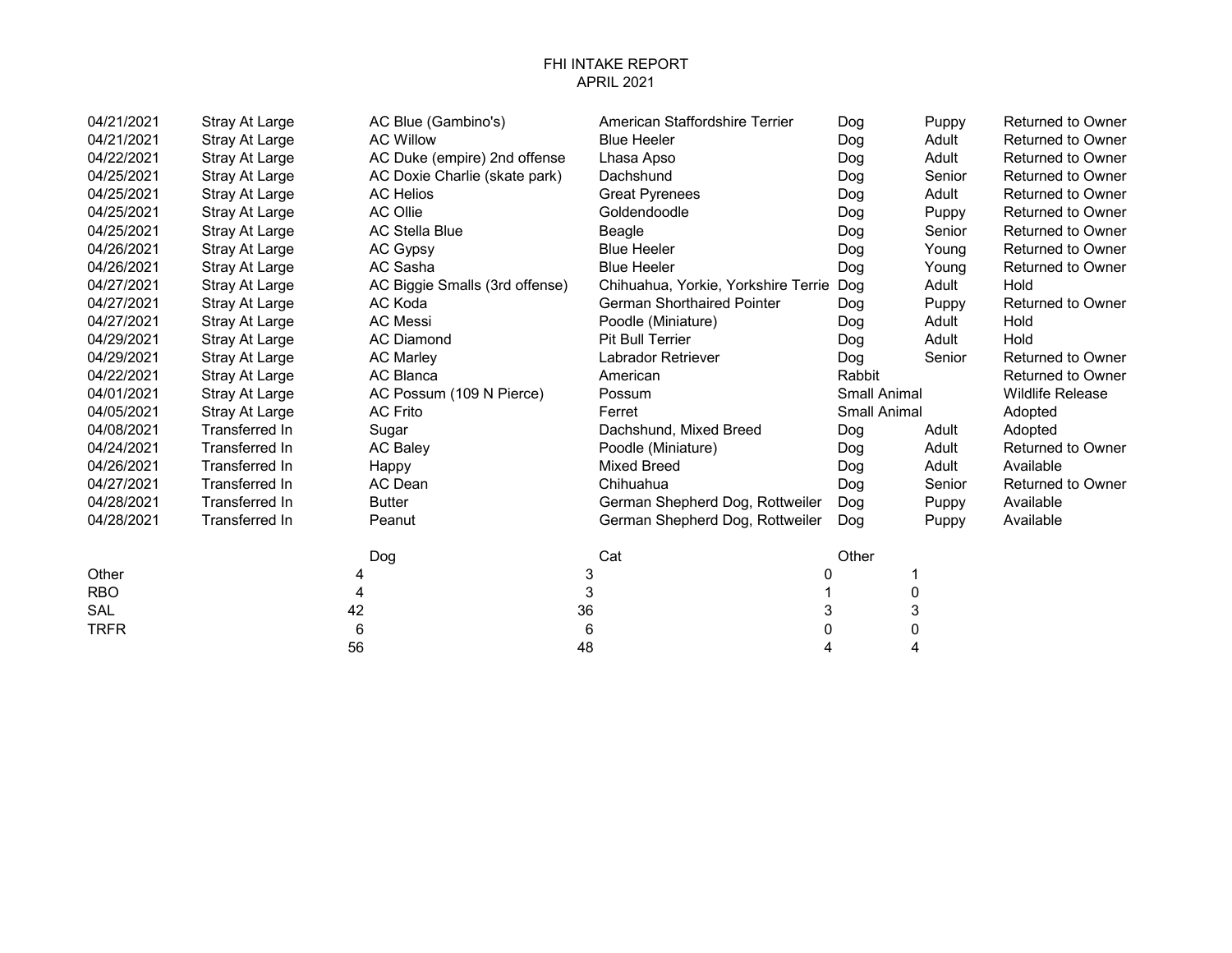## FHI INTAKE REPORT APRIL 2021

| 04/21/2021  | Stray At Large        | AC Blue (Gambino's)            |    | American Staffordshire Terrier      | Dog                 | Puppy  | <b>Returned to Owner</b> |
|-------------|-----------------------|--------------------------------|----|-------------------------------------|---------------------|--------|--------------------------|
| 04/21/2021  | Stray At Large        | <b>AC Willow</b>               |    | <b>Blue Heeler</b>                  | Dog                 | Adult  | <b>Returned to Owner</b> |
| 04/22/2021  | Stray At Large        | AC Duke (empire) 2nd offense   |    | Lhasa Apso                          | Dog                 | Adult  | Returned to Owner        |
| 04/25/2021  | Stray At Large        | AC Doxie Charlie (skate park)  |    | Dachshund                           | Dog                 | Senior | <b>Returned to Owner</b> |
| 04/25/2021  | Stray At Large        | <b>AC Helios</b>               |    | <b>Great Pyrenees</b>               | Dog                 | Adult  | Returned to Owner        |
| 04/25/2021  | Stray At Large        | AC Ollie                       |    | Goldendoodle                        | Dog                 | Puppy  | <b>Returned to Owner</b> |
| 04/25/2021  | Stray At Large        | <b>AC Stella Blue</b>          |    | Beagle                              | Dog                 | Senior | <b>Returned to Owner</b> |
| 04/26/2021  | Stray At Large        | AC Gypsy                       |    | <b>Blue Heeler</b>                  | Dog                 | Young  | Returned to Owner        |
| 04/26/2021  | Stray At Large        | AC Sasha                       |    | <b>Blue Heeler</b>                  | Dog                 | Young  | <b>Returned to Owner</b> |
| 04/27/2021  | Stray At Large        | AC Biggie Smalls (3rd offense) |    | Chihuahua, Yorkie, Yorkshire Terrie | Dog                 | Adult  | Hold                     |
| 04/27/2021  | Stray At Large        | AC Koda                        |    | <b>German Shorthaired Pointer</b>   | Dog                 | Puppy  | <b>Returned to Owner</b> |
| 04/27/2021  | Stray At Large        | <b>AC Messi</b>                |    | Poodle (Miniature)                  | Dog                 | Adult  | Hold                     |
| 04/29/2021  | Stray At Large        | <b>AC Diamond</b>              |    | <b>Pit Bull Terrier</b>             | Dog                 | Adult  | Hold                     |
| 04/29/2021  | Stray At Large        | <b>AC Marley</b>               |    | Labrador Retriever                  | Dog                 | Senior | Returned to Owner        |
| 04/22/2021  | Stray At Large        | AC Blanca                      |    | American                            | Rabbit              |        | <b>Returned to Owner</b> |
| 04/01/2021  | Stray At Large        | AC Possum (109 N Pierce)       |    | Possum                              | <b>Small Animal</b> |        | <b>Wildlife Release</b>  |
| 04/05/2021  | Stray At Large        | <b>AC Frito</b>                |    | Ferret                              | <b>Small Animal</b> |        | Adopted                  |
| 04/08/2021  | Transferred In        | Sugar                          |    | Dachshund, Mixed Breed              | Dog                 | Adult  | Adopted                  |
| 04/24/2021  | <b>Transferred In</b> | <b>AC Baley</b>                |    | Poodle (Miniature)                  | Dog                 | Adult  | <b>Returned to Owner</b> |
| 04/26/2021  | Transferred In        | Happy                          |    | <b>Mixed Breed</b>                  | Dog                 | Adult  | Available                |
| 04/27/2021  | Transferred In        | AC Dean                        |    | Chihuahua                           | Dog                 | Senior | <b>Returned to Owner</b> |
| 04/28/2021  | Transferred In        | <b>Butter</b>                  |    | German Shepherd Dog, Rottweiler     | Dog                 | Puppy  | Available                |
| 04/28/2021  | Transferred In        | Peanut                         |    | German Shepherd Dog, Rottweiler     | Dog                 | Puppy  | Available                |
|             |                       | Dog                            |    | Cat                                 | Other               |        |                          |
| Other       |                       | 4                              | 3  |                                     |                     |        |                          |
| <b>RBO</b>  |                       | 4                              | 3  |                                     |                     | 0      |                          |
| <b>SAL</b>  |                       | 42                             | 36 |                                     | 3                   | 3      |                          |
| <b>TRFR</b> |                       | 6                              | 6  | 0                                   |                     | 0      |                          |

56 48 4 4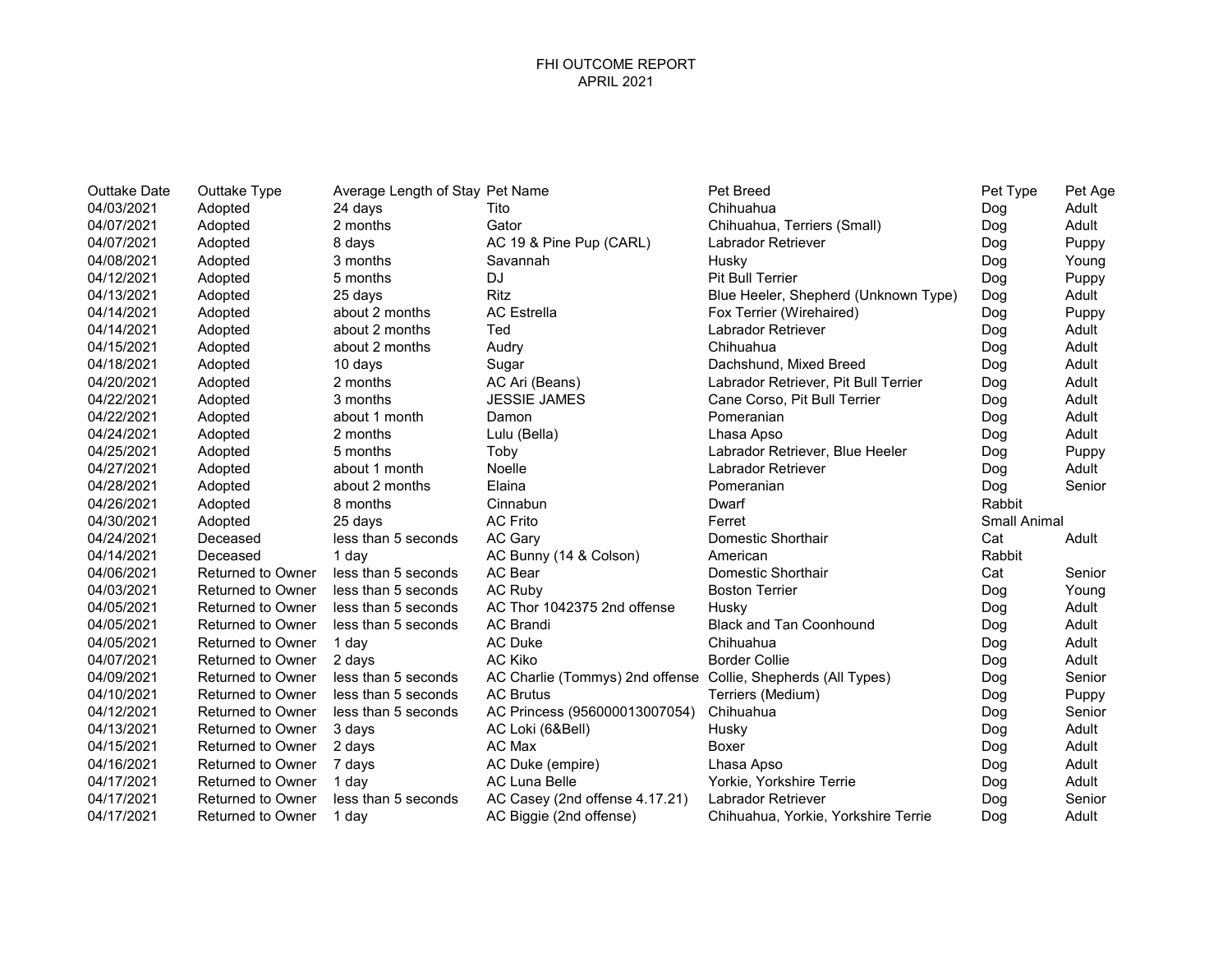| <b>Outtake Date</b> | Outtake Type             | Average Length of Stay Pet Name |                                                               | Pet Breed                            | Pet Type            | Pet Age |
|---------------------|--------------------------|---------------------------------|---------------------------------------------------------------|--------------------------------------|---------------------|---------|
| 04/03/2021          | Adopted                  | 24 days                         | Tito                                                          | Chihuahua                            | Dog                 | Adult   |
| 04/07/2021          | Adopted                  | 2 months                        | Gator                                                         | Chihuahua, Terriers (Small)          | Dog                 | Adult   |
| 04/07/2021          | Adopted                  | 8 days                          | AC 19 & Pine Pup (CARL)                                       | Labrador Retriever                   | Dog                 | Puppy   |
| 04/08/2021          | Adopted                  | 3 months                        | Savannah                                                      | Husky                                | Dog                 | Young   |
| 04/12/2021          | Adopted                  | 5 months                        | <b>DJ</b>                                                     | <b>Pit Bull Terrier</b>              | Dog                 | Puppy   |
| 04/13/2021          | Adopted                  | 25 days                         | <b>Ritz</b>                                                   | Blue Heeler, Shepherd (Unknown Type) | Dog                 | Adult   |
| 04/14/2021          | Adopted                  | about 2 months                  | <b>AC Estrella</b>                                            | Fox Terrier (Wirehaired)             | Dog                 | Puppy   |
| 04/14/2021          | Adopted                  | about 2 months                  | Ted                                                           | <b>Labrador Retriever</b>            | Dog                 | Adult   |
| 04/15/2021          | Adopted                  | about 2 months                  | Audry                                                         | Chihuahua                            | Dog                 | Adult   |
| 04/18/2021          | Adopted                  | 10 days                         | Sugar                                                         | Dachshund, Mixed Breed               | Dog                 | Adult   |
| 04/20/2021          | Adopted                  | 2 months                        | AC Ari (Beans)                                                | Labrador Retriever, Pit Bull Terrier | Dog                 | Adult   |
| 04/22/2021          | Adopted                  | 3 months                        | <b>JESSIE JAMES</b>                                           | Cane Corso, Pit Bull Terrier         | Dog                 | Adult   |
| 04/22/2021          | Adopted                  | about 1 month                   | Damon                                                         | Pomeranian                           | Dog                 | Adult   |
| 04/24/2021          | Adopted                  | 2 months                        | Lulu (Bella)                                                  | Lhasa Apso                           | Dog                 | Adult   |
| 04/25/2021          | Adopted                  | 5 months                        | Toby                                                          | Labrador Retriever, Blue Heeler      | Dog                 | Puppy   |
| 04/27/2021          | Adopted                  | about 1 month                   | Noelle                                                        | Labrador Retriever                   | Dog                 | Adult   |
| 04/28/2021          | Adopted                  | about 2 months                  | Elaina                                                        | Pomeranian                           | Dog                 | Senior  |
| 04/26/2021          | Adopted                  | 8 months                        | Cinnabun                                                      | Dwarf                                | Rabbit              |         |
| 04/30/2021          | Adopted                  | 25 days                         | <b>AC Frito</b>                                               | Ferret                               | <b>Small Animal</b> |         |
| 04/24/2021          | Deceased                 | less than 5 seconds             | AC Gary                                                       | Domestic Shorthair                   | Cat                 | Adult   |
| 04/14/2021          | Deceased                 | 1 day                           | AC Bunny (14 & Colson)                                        | American                             | <b>Rabbit</b>       |         |
| 04/06/2021          | Returned to Owner        | less than 5 seconds             | AC Bear                                                       | Domestic Shorthair                   | Cat                 | Senior  |
| 04/03/2021          | <b>Returned to Owner</b> | less than 5 seconds             | <b>AC Ruby</b>                                                | <b>Boston Terrier</b>                | Dog                 | Young   |
| 04/05/2021          | <b>Returned to Owner</b> | less than 5 seconds             | AC Thor 1042375 2nd offense                                   | Husky                                | Dog                 | Adult   |
| 04/05/2021          | <b>Returned to Owner</b> | less than 5 seconds             | <b>AC Brandi</b>                                              | <b>Black and Tan Coonhound</b>       | Dog                 | Adult   |
| 04/05/2021          | <b>Returned to Owner</b> | 1 day                           | <b>AC Duke</b>                                                | Chihuahua                            | Dog                 | Adult   |
| 04/07/2021          | Returned to Owner        | 2 days                          | AC Kiko                                                       | <b>Border Collie</b>                 | Dog                 | Adult   |
| 04/09/2021          | <b>Returned to Owner</b> | less than 5 seconds             | AC Charlie (Tommys) 2nd offense Collie, Shepherds (All Types) |                                      | Dog                 | Senior  |
| 04/10/2021          | <b>Returned to Owner</b> | less than 5 seconds             | <b>AC Brutus</b>                                              | Terriers (Medium)                    | Dog                 | Puppy   |
| 04/12/2021          | <b>Returned to Owner</b> | less than 5 seconds             | AC Princess (956000013007054)                                 | Chihuahua                            | Dog                 | Senior  |
| 04/13/2021          | <b>Returned to Owner</b> | 3 days                          | AC Loki (6&Bell)                                              | Husky                                | Dog                 | Adult   |
| 04/15/2021          | <b>Returned to Owner</b> | 2 days                          | AC Max                                                        | Boxer                                | Dog                 | Adult   |
| 04/16/2021          | <b>Returned to Owner</b> | 7 days                          | AC Duke (empire)                                              | Lhasa Apso                           | Dog                 | Adult   |
| 04/17/2021          | <b>Returned to Owner</b> | 1 day                           | <b>AC Luna Belle</b>                                          | Yorkie, Yorkshire Terrie             | Dog                 | Adult   |
| 04/17/2021          | <b>Returned to Owner</b> | less than 5 seconds             | AC Casey (2nd offense 4.17.21)                                | <b>Labrador Retriever</b>            | Dog                 | Senior  |
| 04/17/2021          | <b>Returned to Owner</b> | 1 day                           | AC Biggie (2nd offense)                                       | Chihuahua, Yorkie, Yorkshire Terrie  | Dog                 | Adult   |

| Pet Breed                            | Pet Type            | Pet Age |
|--------------------------------------|---------------------|---------|
| Chihuahua                            | Dog                 | Adult   |
| Chihuahua, Terriers (Small)          | Dog                 | Adult   |
| <b>Labrador Retriever</b>            | Dog                 | Puppy   |
| Husky                                | Dog                 | Young   |
| <b>Pit Bull Terrier</b>              | Dog                 | Puppy   |
| Blue Heeler, Shepherd (Unknown Type) | Dog                 | Adult   |
| Fox Terrier (Wirehaired)             | Dog                 | Puppy   |
| <b>Labrador Retriever</b>            | Dog                 | Adult   |
| Chihuahua                            | Dog                 | Adult   |
| Dachshund, Mixed Breed               | Dog                 | Adult   |
| Labrador Retriever, Pit Bull Terrier | Dog                 | Adult   |
| Cane Corso, Pit Bull Terrier         | Dog                 | Adult   |
| Pomeranian                           | Dog                 | Adult   |
| Lhasa Apso                           | Dog                 | Adult   |
| Labrador Retriever, Blue Heeler      | Dog                 | Puppy   |
| Labrador Retriever                   | Dog                 | Adult   |
| Pomeranian                           | Dog                 | Senior  |
| Dwarf                                | Rabbit              |         |
| Ferret                               | <b>Small Animal</b> |         |
| Domestic Shorthair                   | Cat                 | Adult   |
| American                             | Rabbit              |         |
| Domestic Shorthair                   | Cat                 | Senior  |
| <b>Boston Terrier</b>                | Dog                 | Young   |
| Husky                                | Dog                 | Adult   |
| <b>Black and Tan Coonhound</b>       | Dog                 | Adult   |
| Chihuahua                            | Dog                 | Adult   |
| <b>Border Collie</b>                 | Dog                 | Adult   |
| Collie, Shepherds (All Types)        | Dog                 | Senior  |
| Terriers (Medium)                    | Dog                 | Puppy   |
| Chihuahua                            | Dog                 | Senior  |
| Husky                                | Dog                 | Adult   |
| Boxer                                | Dog                 | Adult   |
| Lhasa Apso                           | Dog                 | Adult   |
| Yorkie, Yorkshire Terrie             | Dog                 | Adult   |
| Labrador Retriever                   | Dog                 | Senior  |
| Chihuahua, Yorkie, Yorkshire Terrie  | Dog                 | Adult   |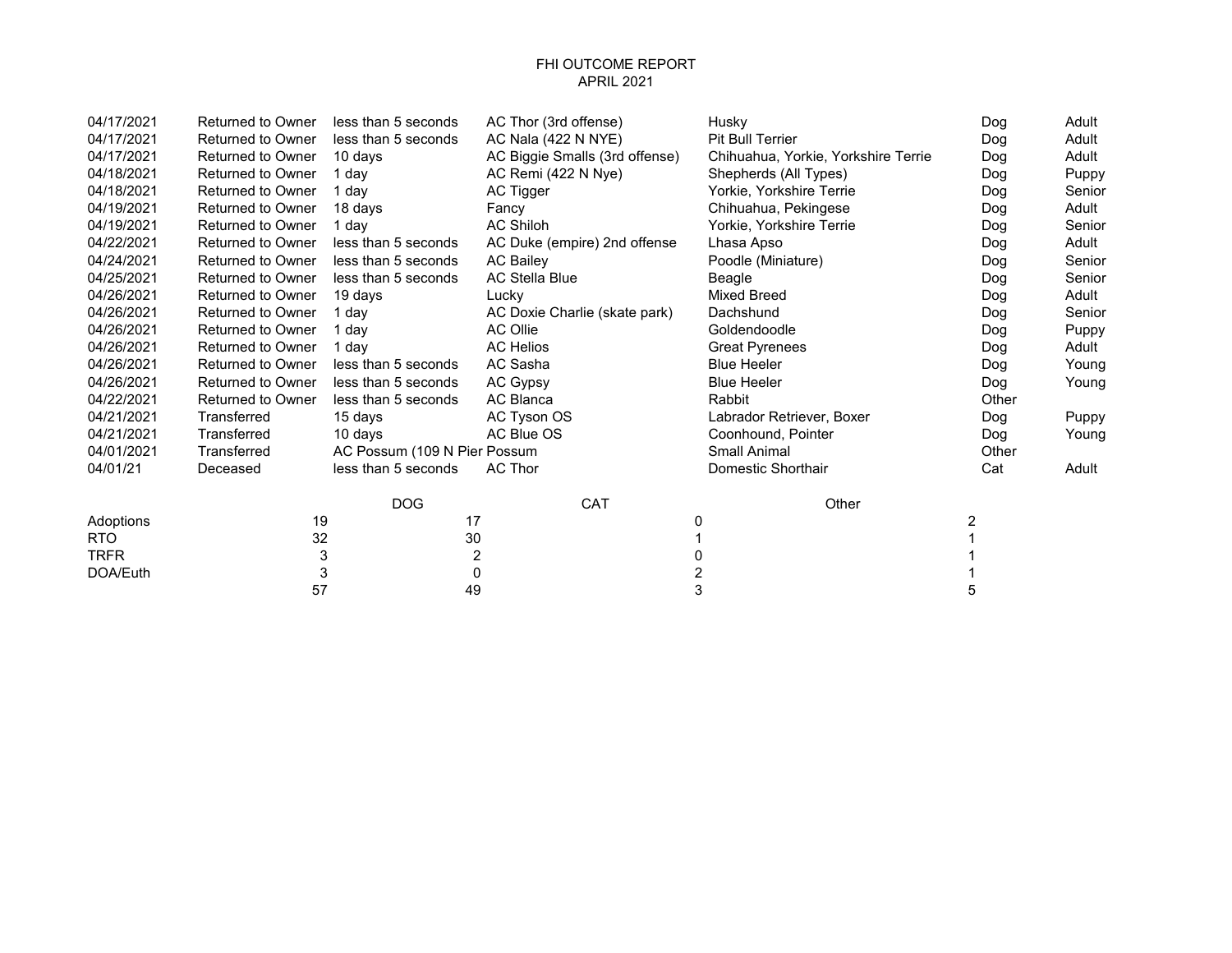## FHI OUTCOME REPORT APRIL 2021

| 04/17/2021  | <b>Returned to Owner</b> | less than 5 seconds          | AC Thor (3rd offense)          | Husky                               | Dog   | Adult  |
|-------------|--------------------------|------------------------------|--------------------------------|-------------------------------------|-------|--------|
| 04/17/2021  | Returned to Owner        | less than 5 seconds          | AC Nala (422 N NYE)            | <b>Pit Bull Terrier</b>             | Dog   | Adult  |
| 04/17/2021  | <b>Returned to Owner</b> | 10 days                      | AC Biggie Smalls (3rd offense) | Chihuahua, Yorkie, Yorkshire Terrie | Dog   | Adult  |
| 04/18/2021  | <b>Returned to Owner</b> | 1 day                        | AC Remi (422 N Nye)            | Shepherds (All Types)               | Dog   | Puppy  |
| 04/18/2021  | <b>Returned to Owner</b> | 1 day                        | AC Tigger                      | Yorkie, Yorkshire Terrie            | Dog   | Senior |
| 04/19/2021  | <b>Returned to Owner</b> | 18 days                      | Fancy                          | Chihuahua, Pekingese                | Dog   | Adult  |
| 04/19/2021  | <b>Returned to Owner</b> | 1 day                        | <b>AC Shiloh</b>               | Yorkie, Yorkshire Terrie            | Dog   | Senior |
| 04/22/2021  | <b>Returned to Owner</b> | less than 5 seconds          | AC Duke (empire) 2nd offense   | Lhasa Apso                          | Dog   | Adult  |
| 04/24/2021  | Returned to Owner        | less than 5 seconds          | <b>AC Bailey</b>               | Poodle (Miniature)                  | Dog   | Senior |
| 04/25/2021  | <b>Returned to Owner</b> | less than 5 seconds          | <b>AC Stella Blue</b>          | Beagle                              | Dog   | Senior |
| 04/26/2021  | <b>Returned to Owner</b> | 19 days                      | Lucky                          | <b>Mixed Breed</b>                  | Dog   | Adult  |
| 04/26/2021  | <b>Returned to Owner</b> | 1 day                        | AC Doxie Charlie (skate park)  | Dachshund                           | Dog   | Senior |
| 04/26/2021  | <b>Returned to Owner</b> | 1 day                        | AC Ollie                       | Goldendoodle                        | Dog   | Puppy  |
| 04/26/2021  | <b>Returned to Owner</b> | 1 dav                        | <b>AC Helios</b>               | <b>Great Pyrenees</b>               | Dog   | Adult  |
| 04/26/2021  | Returned to Owner        | less than 5 seconds          | AC Sasha                       | <b>Blue Heeler</b>                  | Dog   | Young  |
| 04/26/2021  | <b>Returned to Owner</b> | less than 5 seconds          | AC Gypsy                       | <b>Blue Heeler</b>                  | Dog   | Young  |
| 04/22/2021  | <b>Returned to Owner</b> | less than 5 seconds          | <b>AC Blanca</b>               | <b>Rabbit</b>                       | Other |        |
| 04/21/2021  | Transferred              | 15 days                      | AC Tyson OS                    | Labrador Retriever, Boxer           | Dog   | Puppy  |
| 04/21/2021  | Transferred              | 10 days                      | AC Blue OS                     | Coonhound, Pointer                  | Dog   | Young  |
| 04/01/2021  | Transferred              | AC Possum (109 N Pier Possum |                                | Small Animal                        | Other |        |
| 04/01/21    | Deceased                 | less than 5 seconds          | AC Thor                        | Domestic Shorthair                  | Cat   | Adult  |
|             |                          | <b>DOG</b>                   | CAT                            | Other                               |       |        |
| Adoptions   | 19                       | 17                           |                                | 0                                   | 2     |        |
| <b>RTO</b>  | 32                       | 30                           |                                |                                     |       |        |
| <b>TRFR</b> | 3                        | 2                            |                                |                                     |       |        |
| DOA/Euth    | 3                        | 0                            |                                | 2                                   |       |        |
|             | 57                       | 49                           |                                | 3                                   | 5     |        |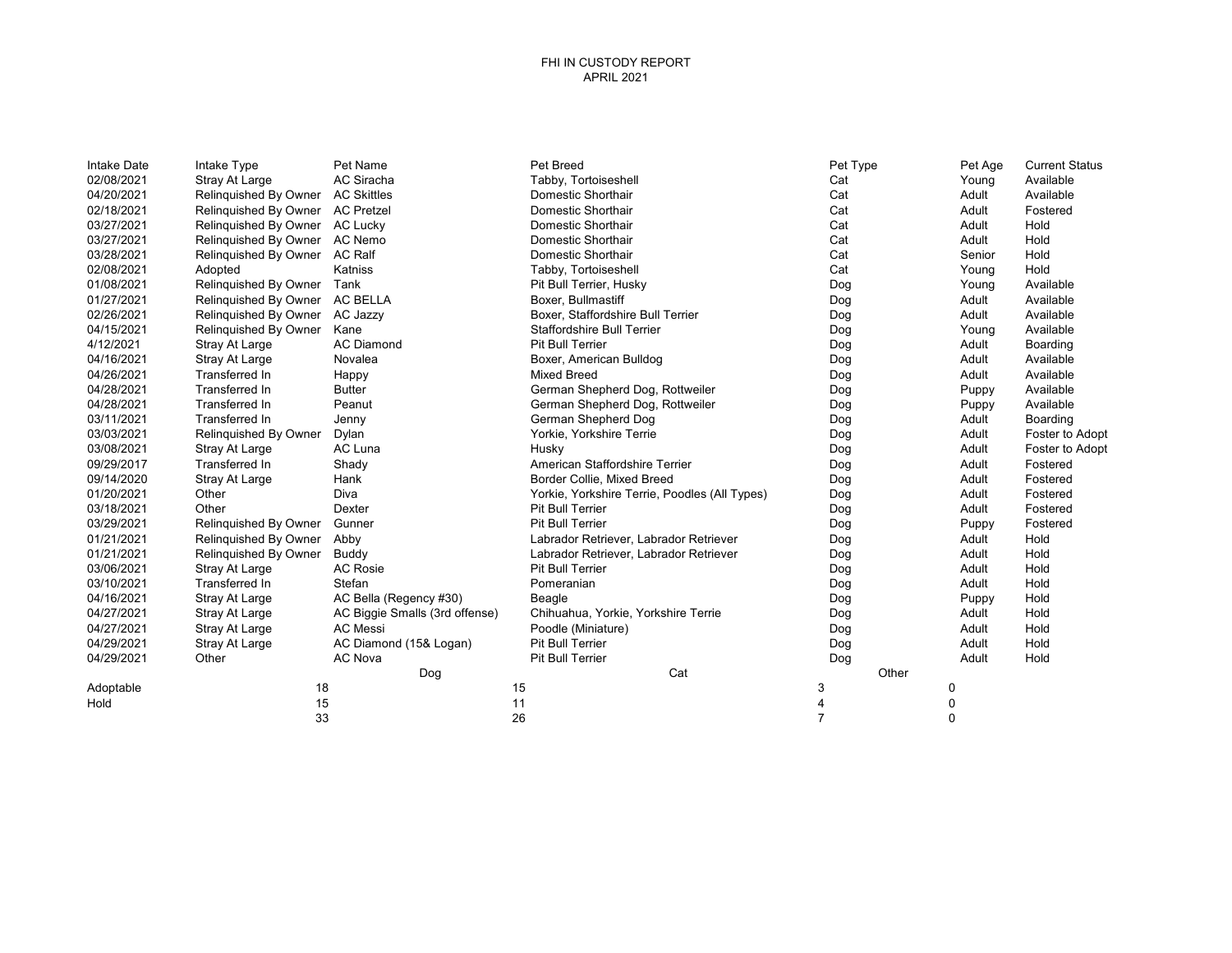## FHI IN CUSTODY REPORT APRIL 2021

| Intake Date | Intake Type           | Pet Name                       | Pet Breed                         |                                               | Pet Type       |       | Pet Age | <b>Current Status</b> |
|-------------|-----------------------|--------------------------------|-----------------------------------|-----------------------------------------------|----------------|-------|---------|-----------------------|
| 02/08/2021  | Stray At Large        | AC Siracha                     | Tabby, Tortoiseshell              |                                               | Cat            |       | Young   | Available             |
| 04/20/2021  | Relinquished By Owner | <b>AC Skittles</b>             | Domestic Shorthair                |                                               | Cat            |       | Adult   | Available             |
| 02/18/2021  | Relinguished By Owner | <b>AC Pretzel</b>              | Domestic Shorthair                |                                               | Cat            |       | Adult   | Fostered              |
| 03/27/2021  | Relinquished By Owner | <b>AC Lucky</b>                | Domestic Shorthair                |                                               | Cat            |       | Adult   | Hold                  |
| 03/27/2021  | Relinquished By Owner | AC Nemo                        | Domestic Shorthair                |                                               | Cat            |       | Adult   | Hold                  |
| 03/28/2021  | Relinquished By Owner | <b>AC Ralf</b>                 | Domestic Shorthair                |                                               | Cat            |       | Senior  | Hold                  |
| 02/08/2021  | Adopted               | Katniss                        | Tabby, Tortoiseshell              |                                               | Cat            |       | Young   | Hold                  |
| 01/08/2021  | Relinquished By Owner | Tank                           | Pit Bull Terrier, Husky           |                                               | Dog            |       | Young   | Available             |
| 01/27/2021  | Relinquished By Owner | <b>AC BELLA</b>                | Boxer, Bullmastiff                |                                               | Dog            |       | Adult   | Available             |
| 02/26/2021  | Relinquished By Owner | AC Jazzy                       | Boxer, Staffordshire Bull Terrier |                                               | Dog            |       | Adult   | Available             |
| 04/15/2021  | Relinquished By Owner | Kane                           | <b>Staffordshire Bull Terrier</b> |                                               | Dog            |       | Young   | Available             |
| 4/12/2021   | Stray At Large        | <b>AC Diamond</b>              | <b>Pit Bull Terrier</b>           |                                               | Dog            |       | Adult   | Boarding              |
| 04/16/2021  | Stray At Large        | Novalea                        | Boxer, American Bulldog           |                                               | Dog            |       | Adult   | Available             |
| 04/26/2021  | Transferred In        | Happy                          | <b>Mixed Breed</b>                |                                               | Dog            |       | Adult   | Available             |
| 04/28/2021  | Transferred In        | <b>Butter</b>                  |                                   | German Shepherd Dog, Rottweiler               | Dog            |       | Puppy   | Available             |
| 04/28/2021  | Transferred In        | Peanut                         |                                   | German Shepherd Dog, Rottweiler               | Dog            |       | Puppy   | Available             |
| 03/11/2021  | Transferred In        | Jenny                          | German Shepherd Dog               |                                               | Dog            |       | Adult   | Boarding              |
| 03/03/2021  | Relinquished By Owner | Dylan                          | Yorkie, Yorkshire Terrie          |                                               | Dog            |       | Adult   | Foster to Adopt       |
| 03/08/2021  | Stray At Large        | AC Luna                        | Husky                             |                                               | Dog            |       | Adult   | Foster to Adopt       |
| 09/29/2017  | Transferred In        | Shady                          | American Staffordshire Terrier    |                                               | Dog            |       | Adult   | Fostered              |
| 09/14/2020  | Stray At Large        | Hank                           | Border Collie, Mixed Breed        |                                               | Dog            |       | Adult   | Fostered              |
| 01/20/2021  | Other                 | Diva                           |                                   | Yorkie, Yorkshire Terrie, Poodles (All Types) | Dog            |       | Adult   | Fostered              |
| 03/18/2021  | Other                 | Dexter                         | <b>Pit Bull Terrier</b>           |                                               | Dog            |       | Adult   | Fostered              |
| 03/29/2021  | Relinquished By Owner | Gunner                         | <b>Pit Bull Terrier</b>           |                                               | Dog            |       | Puppy   | Fostered              |
| 01/21/2021  | Relinquished By Owner | Abby                           |                                   | Labrador Retriever, Labrador Retriever        | Dog            |       | Adult   | Hold                  |
| 01/21/2021  | Relinguished By Owner | Buddy                          |                                   | Labrador Retriever, Labrador Retriever        | Dog            |       | Adult   | Hold                  |
| 03/06/2021  | Stray At Large        | <b>AC Rosie</b>                | <b>Pit Bull Terrier</b>           |                                               | Dog            |       | Adult   | Hold                  |
| 03/10/2021  | Transferred In        | Stefan                         | Pomeranian                        |                                               | Dog            |       | Adult   | Hold                  |
| 04/16/2021  | Stray At Large        | AC Bella (Regency #30)         | Beagle                            |                                               | Dog            |       | Puppy   | Hold                  |
| 04/27/2021  | Stray At Large        | AC Biggie Smalls (3rd offense) |                                   | Chihuahua, Yorkie, Yorkshire Terrie           | Dog            |       | Adult   | Hold                  |
| 04/27/2021  | Stray At Large        | <b>AC Messi</b>                | Poodle (Miniature)                |                                               | Dog            |       | Adult   | Hold                  |
| 04/29/2021  | Stray At Large        | AC Diamond (15& Logan)         | <b>Pit Bull Terrier</b>           |                                               | Dog            |       | Adult   | Hold                  |
| 04/29/2021  | Other                 | <b>AC Nova</b>                 | <b>Pit Bull Terrier</b>           |                                               | Dog            |       | Adult   | Hold                  |
|             |                       | Dog                            |                                   | Cat                                           |                | Other |         |                       |
| Adoptable   | 18                    |                                | 15                                |                                               | 3              |       | 0       |                       |
| Hold        | 15                    |                                | 11                                |                                               | 4              |       | 0       |                       |
|             | 33                    |                                | 26                                |                                               | $\overline{7}$ |       | 0       |                       |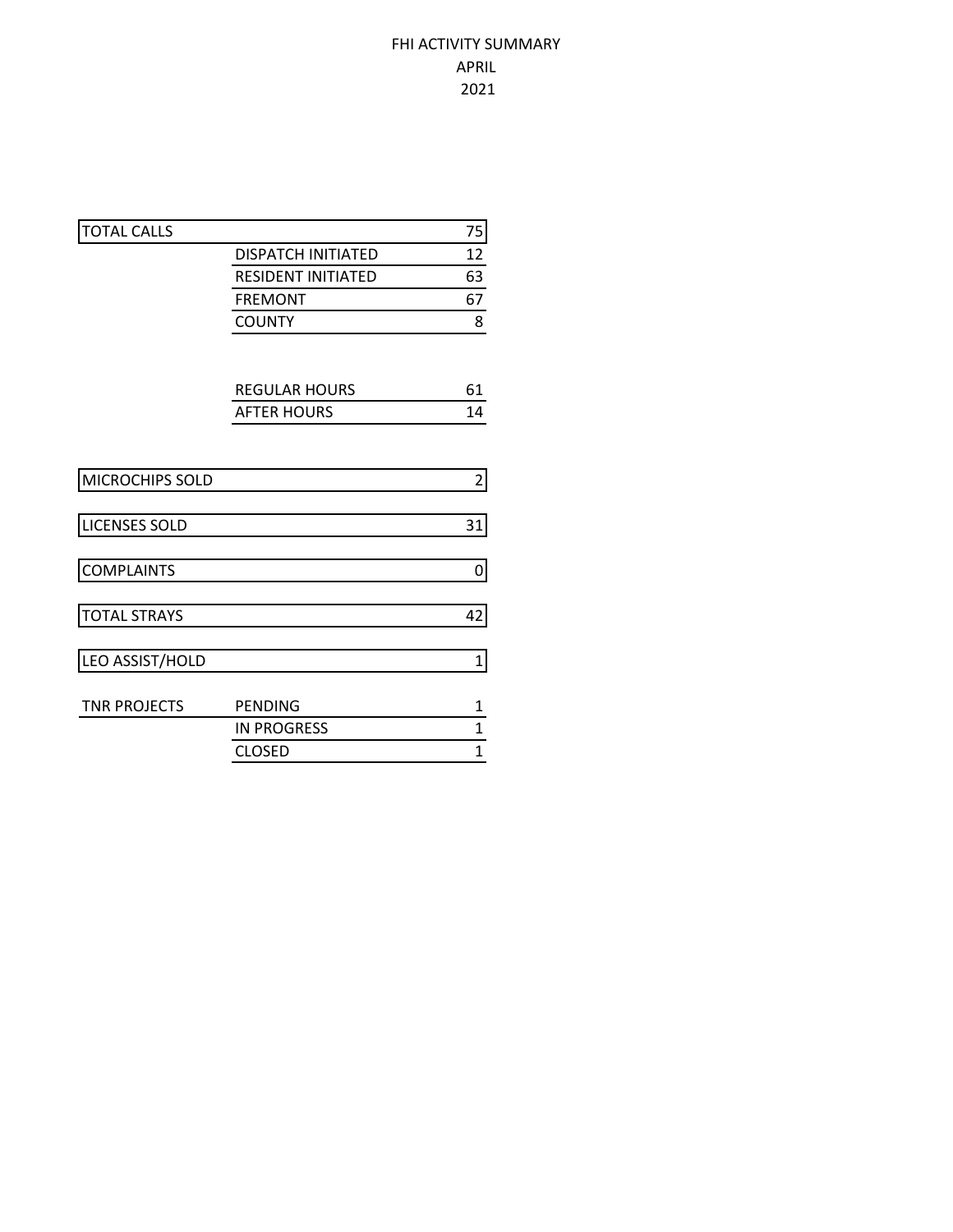## FHI ACTIVITY SUMMARY APRIL 2021

| <b>TOTAL CALLS</b>   |                           | 75             |
|----------------------|---------------------------|----------------|
|                      | <b>DISPATCH INITIATED</b> | 12             |
|                      | <b>RESIDENT INITIATED</b> | 63             |
|                      | <b>FREMONT</b>            | 67             |
|                      | <b>COUNTY</b>             | 8              |
|                      |                           |                |
|                      | <b>REGULAR HOURS</b>      | 61             |
|                      | <b>AFTER HOURS</b>        | 14             |
|                      |                           |                |
| MICROCHIPS SOLD      |                           | $\overline{2}$ |
| <b>LICENSES SOLD</b> |                           | 31             |
| <b>COMPLAINTS</b>    |                           | 0              |
| <b>TOTAL STRAYS</b>  |                           | 42             |
| LEO ASSIST/HOLD      |                           | 1              |
| <b>TNR PROJECTS</b>  | <b>PENDING</b>            | $\mathbf{1}$   |
|                      | <b>IN PROGRESS</b>        | $\mathbf{1}$   |
|                      | <b>CLOSED</b>             | $\mathbf{1}$   |